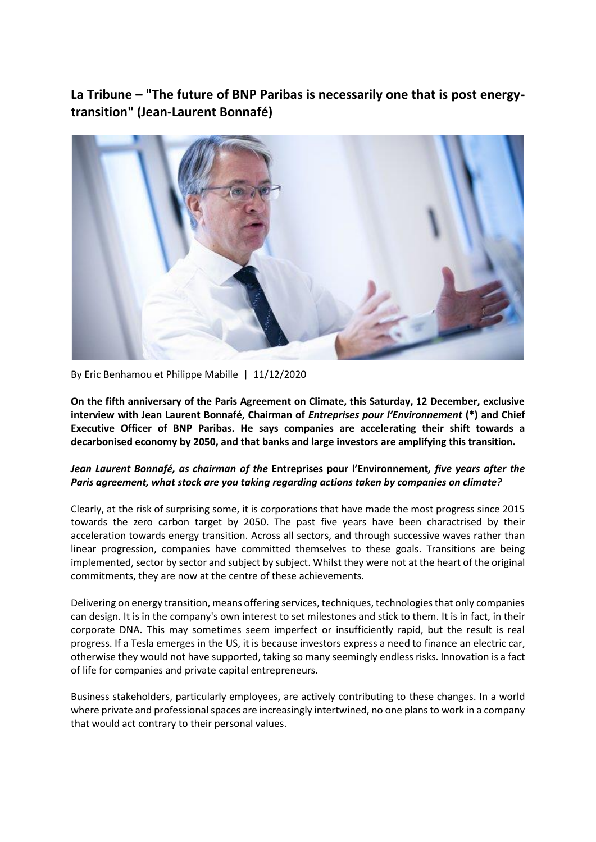**La Tribune – "The future of BNP Paribas is necessarily one that is post energytransition" (Jean-Laurent Bonnafé)**



By Eric Benhamou et Philippe Mabille | 11/12/2020

**On the fifth anniversary of the Paris Agreement on Climate, this Saturday, 12 December, exclusive interview with Jean Laurent Bonnafé, Chairman of** *Entreprises pour l'Environnement* **(\*) and Chief Executive Officer of BNP Paribas. He says companies are accelerating their shift towards a decarbonised economy by 2050, and that banks and large investors are amplifying this transition.**

### *Jean Laurent Bonnafé, as chairman of the* **Entreprises pour l'Environnement***, five years after the Paris agreement, what stock are you taking regarding actions taken by companies on climate?*

Clearly, at the risk of surprising some, it is corporations that have made the most progress since 2015 towards the zero carbon target by 2050. The past five years have been charactrised by their acceleration towards energy transition. Across all sectors, and through successive waves rather than linear progression, companies have committed themselves to these goals. Transitions are being implemented, sector by sector and subject by subject. Whilst they were not at the heart of the original commitments, they are now at the centre of these achievements.

Delivering on energy transition, means offering services, techniques, technologies that only companies can design. It is in the company's own interest to set milestones and stick to them. It is in fact, in their corporate DNA. This may sometimes seem imperfect or insufficiently rapid, but the result is real progress. If a Tesla emerges in the US, it is because investors express a need to finance an electric car, otherwise they would not have supported, taking so many seemingly endless risks. Innovation is a fact of life for companies and private capital entrepreneurs.

Business stakeholders, particularly employees, are actively contributing to these changes. In a world where private and professional spaces are increasingly intertwined, no one plans to work in a company that would act contrary to their personal values.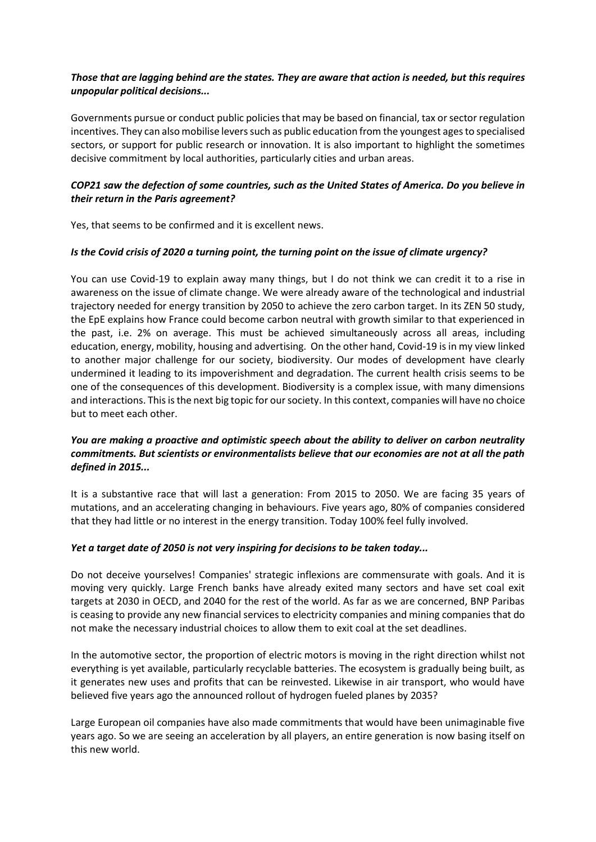### *Those that are lagging behind are the states. They are aware that action is needed, but this requires unpopular political decisions...*

Governments pursue or conduct public policies that may be based on financial, tax or sector regulation incentives. They can also mobilise levers such as public education from the youngest agesto specialised sectors, or support for public research or innovation. It is also important to highlight the sometimes decisive commitment by local authorities, particularly cities and urban areas.

# *COP21 saw the defection of some countries, such as the United States of America. Do you believe in their return in the Paris agreement?*

Yes, that seems to be confirmed and it is excellent news.

#### *Is the Covid crisis of 2020 a turning point, the turning point on the issue of climate urgency?*

You can use Covid-19 to explain away many things, but I do not think we can credit it to a rise in awareness on the issue of climate change. We were already aware of the technological and industrial trajectory needed for energy transition by 2050 to achieve the zero carbon target. In its ZEN 50 study, the EpE explains how France could become carbon neutral with growth similar to that experienced in the past, i.e. 2% on average. This must be achieved simultaneously across all areas, including education, energy, mobility, housing and advertising. On the other hand, Covid-19 is in my view linked to another major challenge for our society, biodiversity. Our modes of development have clearly undermined it leading to its impoverishment and degradation. The current health crisis seems to be one of the consequences of this development. Biodiversity is a complex issue, with many dimensions and interactions. This is the next big topic for our society. In this context, companies will have no choice but to meet each other.

# *You are making a proactive and optimistic speech about the ability to deliver on carbon neutrality commitments. But scientists or environmentalists believe that our economies are not at all the path defined in 2015...*

It is a substantive race that will last a generation: From 2015 to 2050. We are facing 35 years of mutations, and an accelerating changing in behaviours. Five years ago, 80% of companies considered that they had little or no interest in the energy transition. Today 100% feel fully involved.

#### *Yet a target date of 2050 is not very inspiring for decisions to be taken today...*

Do not deceive yourselves! Companies' strategic inflexions are commensurate with goals. And it is moving very quickly. Large French banks have already exited many sectors and have set coal exit targets at 2030 in OECD, and 2040 for the rest of the world. As far as we are concerned, BNP Paribas is ceasing to provide any new financial services to electricity companies and mining companies that do not make the necessary industrial choices to allow them to exit coal at the set deadlines.

In the automotive sector, the proportion of electric motors is moving in the right direction whilst not everything is yet available, particularly recyclable batteries. The ecosystem is gradually being built, as it generates new uses and profits that can be reinvested. Likewise in air transport, who would have believed five years ago the announced rollout of hydrogen fueled planes by 2035?

Large European oil companies have also made commitments that would have been unimaginable five years ago. So we are seeing an acceleration by all players, an entire generation is now basing itself on this new world.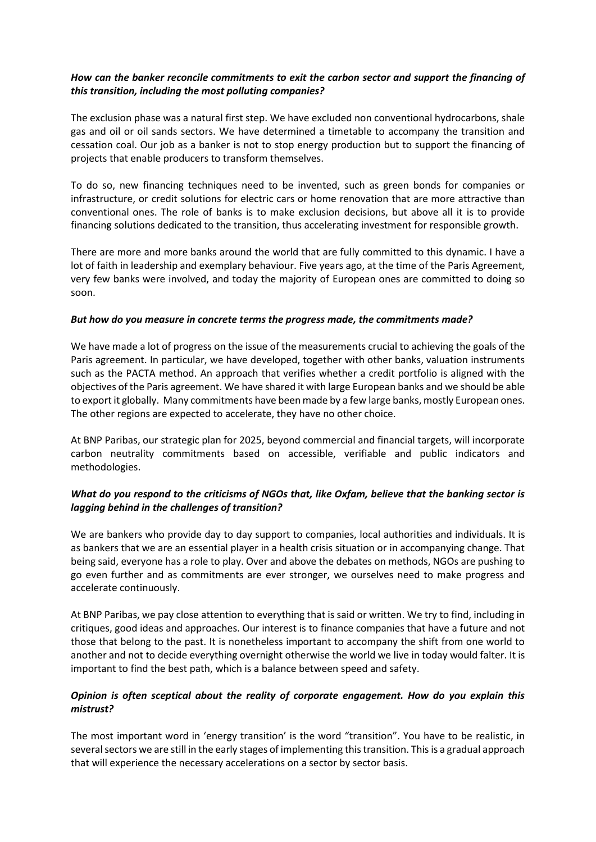### *How can the banker reconcile commitments to exit the carbon sector and support the financing of this transition, including the most polluting companies?*

The exclusion phase was a natural first step. We have excluded non conventional hydrocarbons, shale gas and oil or oil sands sectors. We have determined a timetable to accompany the transition and cessation coal. Our job as a banker is not to stop energy production but to support the financing of projects that enable producers to transform themselves.

To do so, new financing techniques need to be invented, such as green bonds for companies or infrastructure, or credit solutions for electric cars or home renovation that are more attractive than conventional ones. The role of banks is to make exclusion decisions, but above all it is to provide financing solutions dedicated to the transition, thus accelerating investment for responsible growth.

There are more and more banks around the world that are fully committed to this dynamic. I have a lot of faith in leadership and exemplary behaviour. Five years ago, at the time of the Paris Agreement, very few banks were involved, and today the majority of European ones are committed to doing so soon.

#### *But how do you measure in concrete terms the progress made, the commitments made?*

We have made a lot of progress on the issue of the measurements crucial to achieving the goals of the Paris agreement. In particular, we have developed, together with other banks, valuation instruments such as the PACTA method. An approach that verifies whether a credit portfolio is aligned with the objectives of the Paris agreement. We have shared it with large European banks and we should be able to export it globally. Many commitments have been made by a few large banks, mostly European ones. The other regions are expected to accelerate, they have no other choice.

At BNP Paribas, our strategic plan for 2025, beyond commercial and financial targets, will incorporate carbon neutrality commitments based on accessible, verifiable and public indicators and methodologies.

# *What do you respond to the criticisms of NGOs that, like Oxfam, believe that the banking sector is lagging behind in the challenges of transition?*

We are bankers who provide day to day support to companies, local authorities and individuals. It is as bankers that we are an essential player in a health crisis situation or in accompanying change. That being said, everyone has a role to play. Over and above the debates on methods, NGOs are pushing to go even further and as commitments are ever stronger, we ourselves need to make progress and accelerate continuously.

At BNP Paribas, we pay close attention to everything that is said or written. We try to find, including in critiques, good ideas and approaches. Our interest is to finance companies that have a future and not those that belong to the past. It is nonetheless important to accompany the shift from one world to another and not to decide everything overnight otherwise the world we live in today would falter. It is important to find the best path, which is a balance between speed and safety.

# *Opinion is often sceptical about the reality of corporate engagement. How do you explain this mistrust?*

The most important word in 'energy transition' is the word "transition". You have to be realistic, in several sectors we are still in the early stages of implementing this transition. This is a gradual approach that will experience the necessary accelerations on a sector by sector basis.